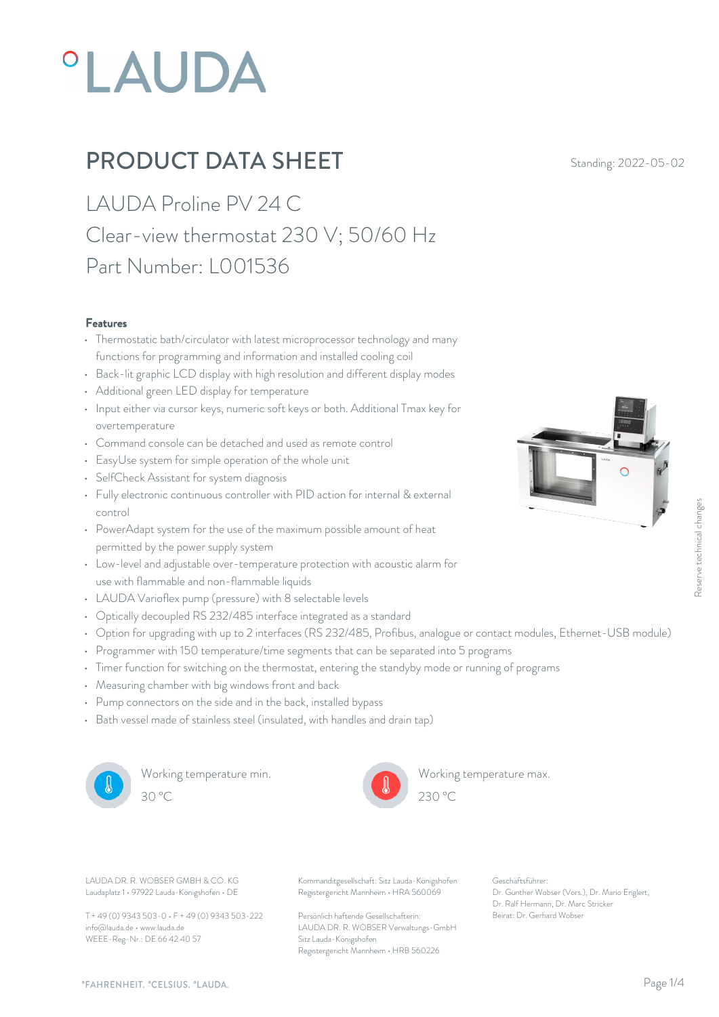# **°LAUDA**

## **PRODUCT DATA SHEET** Standing: 2022-05-02

LAUDA Proline PV 24 C Clear-view thermostat 230 V; 50/60 Hz Part Number: L001536

#### Features

- Thermostatic bath/circulator with latest microprocessor technology and many functions for programming and information and installed cooling coil
- Back-lit graphic LCD display with high resolution and different display modes
- Additional green LED display for temperature
- Input either via cursor keys, numeric soft keys or both. Additional Tmax key for overtemperature
- Command console can be detached and used as remote control
- EasyUse system for simple operation of the whole unit
- SelfCheck Assistant for system diagnosis
- Fully electronic continuous controller with PID action for internal & external control
- PowerAdapt system for the use of the maximum possible amount of heat permitted by the power supply system
- Low-level and adjustable over-temperature protection with acoustic alarm for use with flammable and non-flammable liquids
- LAUDA Varioflex pump (pressure) with 8 selectable levels
- Optically decoupled RS 232/485 interface integrated as a standard
- Option for upgrading with up to 2 interfaces (RS 232/485, Profibus, analogue or contact modules, Ethernet-USB module)
- Programmer with 150 temperature/time segments that can be separated into 5 programs
- Timer function for switching on the thermostat, entering the standyby mode or running of programs
- Measuring chamber with big windows front and back
- Pump connectors on the side and in the back, installed bypass
- Bath vessel made of stainless steel (insulated, with handles and drain tap)



Working temperature min. 30 °C 230 °C



Working temperature max.  $230 \text{ °C}$ 

Laudaplatz 1 • 97922 Lauda-Königshofen • DE

T + 49 (0) 9343 503-0 • F + 49 (0) 9343 503-222 info@lauda.de • www.lauda.de WEEE-Reg-Nr.: DE 66 42 40 57

LAUDA DR. R. WOBSER GMBH & CO. KG Kommanditgesellschaft: Sitz Lauda-Königshofen Geschäftsführer: Registergericht Mannheim • HRA 560069

> Persönlich haftende Gesellschafterin: Beirat: Dr. Gerhard Wobse LAUDA DR. R. WOBSER Verwaltungs-GmbH Sitz Lauda-Königshofen Registergericht Mannheim • HRB 560226

Geschäftsführer: Dr. Gunther Wobser (Vors.), Dr. Mario Englert, Dr. Ralf Hermann, Dr. Marc Stricker Execution Controllers, Ethernet - USB module)<br>
ams<br>
ams<br>
and of programs<br>
Beirat: Dr. Genther Wobser (Vors.), Dr. Mario Englert,<br>
Dr. Genther Wobser (Vors.), Dr. Mario Englert,<br>
Dr. Raff Hermann, Dr. Marc Stricker<br>
Beirat: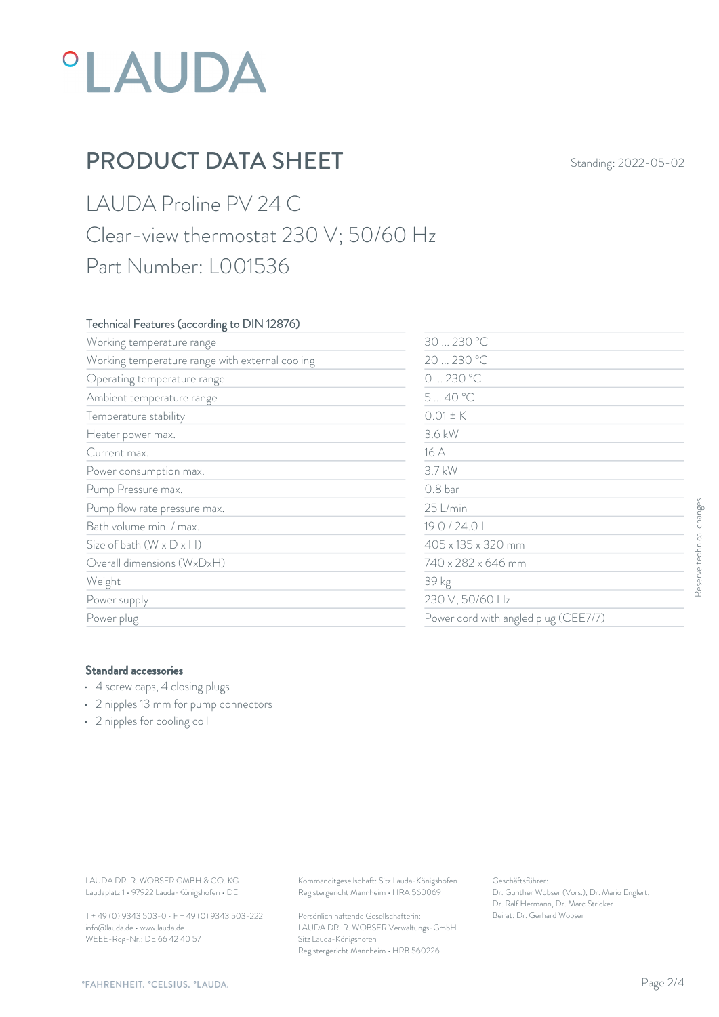## **°LAUDA**

## **PRODUCT DATA SHEET** Standing: 2022-05-02

LAUDA Proline PV 24 C Clear-view thermostat 230 V; 50/60 Hz Part Number: L001536

#### Technical Features (according to DIN 12876)

| Working temperature range                                                                                                               |                                                                                        | 30  230 °C<br>20  230 °C<br>0230 °C<br>540 °C                                                             |                           |  |
|-----------------------------------------------------------------------------------------------------------------------------------------|----------------------------------------------------------------------------------------|-----------------------------------------------------------------------------------------------------------|---------------------------|--|
| Working temperature range with external cooling                                                                                         |                                                                                        |                                                                                                           |                           |  |
| Operating temperature range                                                                                                             |                                                                                        |                                                                                                           |                           |  |
| Ambient temperature range                                                                                                               |                                                                                        |                                                                                                           |                           |  |
| Temperature stability                                                                                                                   | $0.01 \pm K$                                                                           |                                                                                                           |                           |  |
| Heater power max.                                                                                                                       | 3.6 kW                                                                                 |                                                                                                           |                           |  |
| Current max.                                                                                                                            | 16 A                                                                                   |                                                                                                           |                           |  |
| Power consumption max.                                                                                                                  | 3.7 kW                                                                                 |                                                                                                           |                           |  |
| Pump Pressure max.                                                                                                                      | 0.8 bar                                                                                |                                                                                                           |                           |  |
| Pump flow rate pressure max.                                                                                                            | 25 L/min                                                                               |                                                                                                           |                           |  |
| Bath volume min. / max.                                                                                                                 | 19.0 / 24.0 L                                                                          |                                                                                                           |                           |  |
| Size of bath $(W \times D \times H)$                                                                                                    |                                                                                        | 405 x 135 x 320 mm<br>740 x 282 x 646 mm<br>39 kg<br>230 V; 50/60 Hz                                      |                           |  |
| Overall dimensions (WxDxH)                                                                                                              |                                                                                        |                                                                                                           | Reserve technical changes |  |
| Weight                                                                                                                                  |                                                                                        |                                                                                                           |                           |  |
| Power supply                                                                                                                            |                                                                                        |                                                                                                           |                           |  |
| Power plug                                                                                                                              |                                                                                        | Power cord with angled plug (CEE7/7)                                                                      |                           |  |
| <b>Standard accessories</b><br>• 4 screw caps, 4 closing plugs<br>• 2 nipples 13 mm for pump connectors<br>• 2 nipples for cooling coil |                                                                                        |                                                                                                           |                           |  |
|                                                                                                                                         |                                                                                        |                                                                                                           |                           |  |
| LAUDA DR. R. WOBSER GMBH & CO. KG<br>Laudaplatz 1 · 97922 Lauda-Königshofen · DE                                                        | Kommanditgesellschaft: Sitz Lauda-Königshofen<br>Registergericht Mannheim · HRA 560069 | Geschäftsführer:<br>Dr. Gunther Wobser (Vors.), Dr. Mario Englert,<br>Dr. Ralf Hermann, Dr. Marc Stricker |                           |  |
| T + 49 (0) 9343 503-0 · F + 49 (0) 9343 503-222                                                                                         | Persönlich haftende Gesellschafterin:                                                  | Beirat: Dr. Gerhard Wobser                                                                                |                           |  |

#### Standard accessories

- 4 screw caps, 4 closing plugs
- 2 nipples 13 mm for pump connectors
- 2 nipples for cooling coil

T + 49 (0) 9343 503-0 • F + 49 (0) 9343 503-222 info@lauda.de • www.lauda.de WEEE-Reg-Nr.: DE 66 42 40 57

> Persönlich haftende Gesellschafterin: Beirat: Dr. Gerhard Wobse LAUDA DR. R. WOBSER Verwaltungs-GmbH Sitz Lauda-Königshofen Registergericht Mannheim • HRB 560226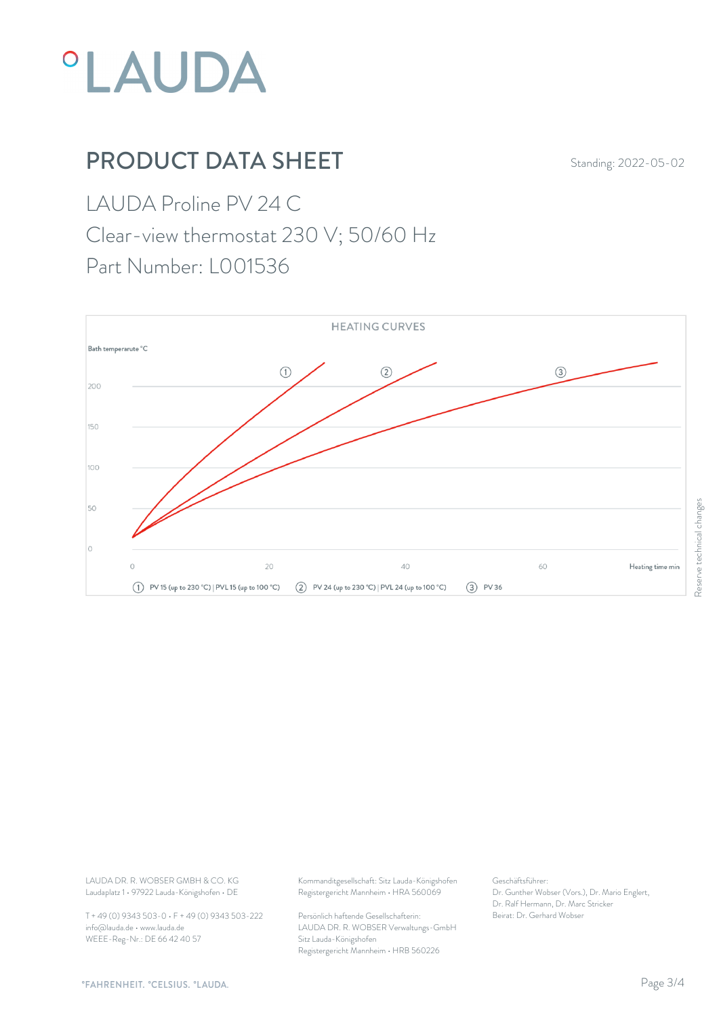

## **PRODUCT DATA SHEET** Standing: 2022-05-02

LAUDA Proline PV 24 C Clear-view thermostat 230 V; 50/60 Hz

Part Number: L001536



Laudaplatz 1 • 97922 Lauda-Königshofen • DE

T + 49 (0) 9343 503-0 • F + 49 (0) 9343 503-222 info@lauda.de • www.lauda.de WEEE-Reg-Nr.: DE 66 42 40 57

LAUDA DR. R. WOBSER GMBH & CO. KG Kommanditgesellschaft: Sitz Lauda-Königshofen Geschäftsführer: Registergericht Mannheim • HRA 560069

> Persönlich haftende Gesellschafterin: Beirat: Dr. Gerhard Wobse LAUDA DR. R. WOBSER Verwaltungs-GmbH Sitz Lauda-Königshofen Registergericht Mannheim • HRB 560226

Geschäftsführer: Dr. Gunther Wobser (Vors.), Dr. Mario Englert, Dr. Ralf Hermann, Dr. Marc Stricker